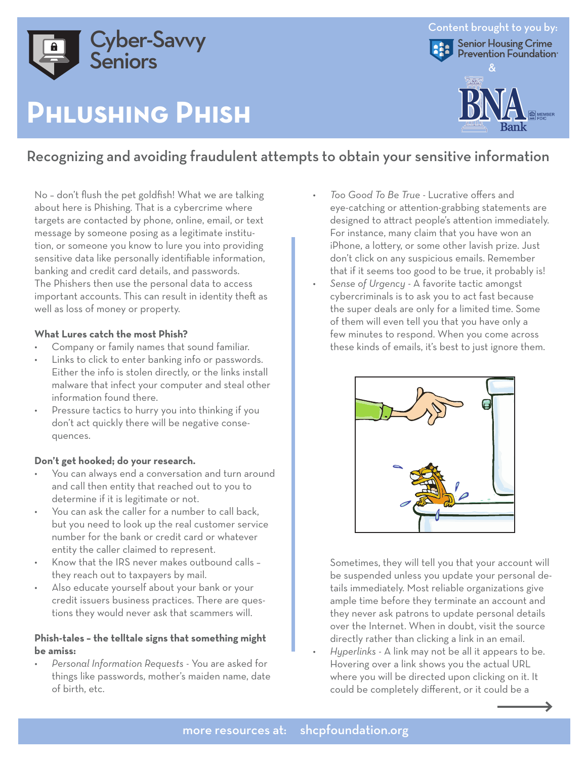

# **Phlushing Phish**



## Recognizing and avoiding fraudulent attempts to obtain your sensitive information

No – don't flush the pet goldfish! What we are talking about here is Phishing. That is a cybercrime where targets are contacted by phone, online, email, or text message by someone posing as a legitimate institution, or someone you know to lure you into providing sensitive data like personally identifiable information, banking and credit card details, and passwords. The Phishers then use the personal data to access important accounts. This can result in identity theft as well as loss of money or property.

### **What Lures catch the most Phish?**

- Company or family names that sound familiar.
- Links to click to enter banking info or passwords. Either the info is stolen directly, or the links install malware that infect your computer and steal other information found there.
- Pressure tactics to hurry you into thinking if you don't act quickly there will be negative consequences.

#### **Don't get hooked; do your research.**

- You can always end a conversation and turn around and call then entity that reached out to you to determine if it is legitimate or not.
- You can ask the caller for a number to call back, but you need to look up the real customer service number for the bank or credit card or whatever entity the caller claimed to represent.
- Know that the IRS never makes outbound calls they reach out to taxpayers by mail.
- Also educate yourself about your bank or your credit issuers business practices. There are questions they would never ask that scammers will.

### **Phish-tales – the telltale signs that something might be amiss:**

*• Personal Information Requests -* You are asked for things like passwords, mother's maiden name, date of birth, etc.

- *• Too Good To Be True* Lucrative offers and eye-catching or attention-grabbing statements are designed to attract people's attention immediately. For instance, many claim that you have won an iPhone, a lottery, or some other lavish prize. Just don't click on any suspicious emails. Remember that if it seems too good to be true, it probably is!
- *• Sense of Urgency* A favorite tactic amongst cybercriminals is to ask you to act fast because the super deals are only for a limited time. Some of them will even tell you that you have only a few minutes to respond. When you come across these kinds of emails, it's best to just ignore them.



Sometimes, they will tell you that your account will be suspended unless you update your personal details immediately. Most reliable organizations give ample time before they terminate an account and they never ask patrons to update personal details over the Internet. When in doubt, visit the source directly rather than clicking a link in an email.

*• Hyperlinks -* A link may not be all it appears to be. Hovering over a link shows you the actual URL where you will be directed upon clicking on it. It could be completely different, or it could be a